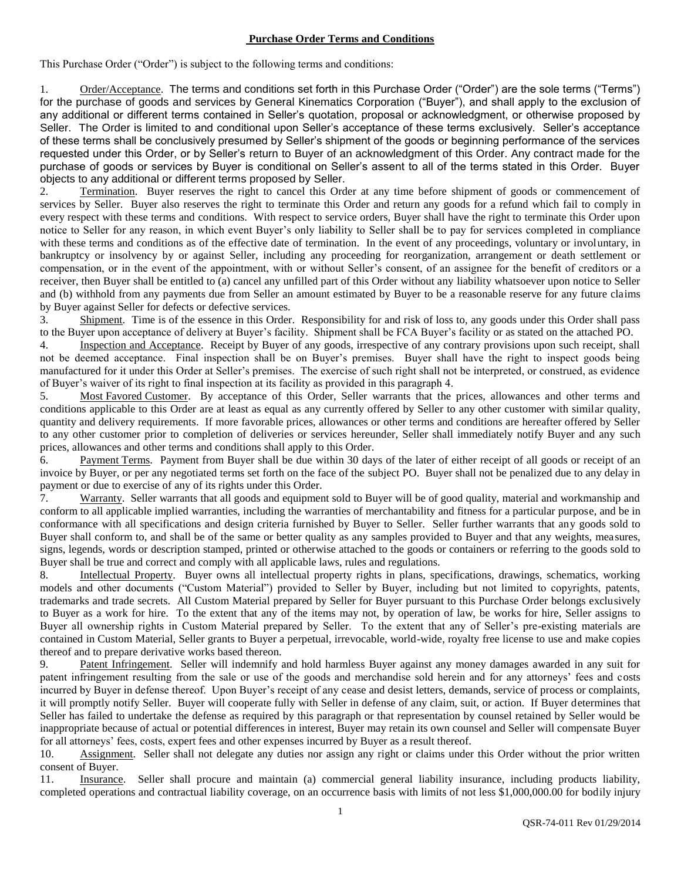## **Purchase Order Terms and Conditions**

This Purchase Order ("Order") is subject to the following terms and conditions:

1. Order/Acceptance. The terms and conditions set forth in this Purchase Order ("Order") are the sole terms ("Terms") for the purchase of goods and services by General Kinematics Corporation ("Buyer"), and shall apply to the exclusion of any additional or different terms contained in Seller's quotation, proposal or acknowledgment, or otherwise proposed by Seller. The Order is limited to and conditional upon Seller's acceptance of these terms exclusively. Seller's acceptance of these terms shall be conclusively presumed by Seller's shipment of the goods or beginning performance of the services requested under this Order, or by Seller's return to Buyer of an acknowledgment of this Order. Any contract made for the purchase of goods or services by Buyer is conditional on Seller's assent to all of the terms stated in this Order. Buyer objects to any additional or different terms proposed by Seller.

2. Termination. Buyer reserves the right to cancel this Order at any time before shipment of goods or commencement of services by Seller. Buyer also reserves the right to terminate this Order and return any goods for a refund which fail to comply in every respect with these terms and conditions. With respect to service orders, Buyer shall have the right to terminate this Order upon notice to Seller for any reason, in which event Buyer's only liability to Seller shall be to pay for services completed in compliance with these terms and conditions as of the effective date of termination. In the event of any proceedings, voluntary or involuntary, in bankruptcy or insolvency by or against Seller, including any proceeding for reorganization, arrangement or death settlement or compensation, or in the event of the appointment, with or without Seller's consent, of an assignee for the benefit of creditors or a receiver, then Buyer shall be entitled to (a) cancel any unfilled part of this Order without any liability whatsoever upon notice to Seller and (b) withhold from any payments due from Seller an amount estimated by Buyer to be a reasonable reserve for any future claims by Buyer against Seller for defects or defective services.

3. Shipment. Time is of the essence in this Order. Responsibility for and risk of loss to, any goods under this Order shall pass to the Buyer upon acceptance of delivery at Buyer's facility. Shipment shall be FCA Buyer's facility or as stated on the attached PO.

4. Inspection and Acceptance. Receipt by Buyer of any goods, irrespective of any contrary provisions upon such receipt, shall not be deemed acceptance. Final inspection shall be on Buyer's premises. Buyer shall have the right to inspect goods being manufactured for it under this Order at Seller's premises. The exercise of such right shall not be interpreted, or construed, as evidence of Buyer's waiver of its right to final inspection at its facility as provided in this paragraph 4.

5. Most Favored Customer. By acceptance of this Order, Seller warrants that the prices, allowances and other terms and conditions applicable to this Order are at least as equal as any currently offered by Seller to any other customer with similar quality, quantity and delivery requirements. If more favorable prices, allowances or other terms and conditions are hereafter offered by Seller to any other customer prior to completion of deliveries or services hereunder, Seller shall immediately notify Buyer and any such prices, allowances and other terms and conditions shall apply to this Order.

6. Payment Terms. Payment from Buyer shall be due within 30 days of the later of either receipt of all goods or receipt of an invoice by Buyer, or per any negotiated terms set forth on the face of the subject PO. Buyer shall not be penalized due to any delay in payment or due to exercise of any of its rights under this Order.

7. Warranty. Seller warrants that all goods and equipment sold to Buyer will be of good quality, material and workmanship and conform to all applicable implied warranties, including the warranties of merchantability and fitness for a particular purpose, and be in conformance with all specifications and design criteria furnished by Buyer to Seller. Seller further warrants that any goods sold to Buyer shall conform to, and shall be of the same or better quality as any samples provided to Buyer and that any weights, measures, signs, legends, words or description stamped, printed or otherwise attached to the goods or containers or referring to the goods sold to Buyer shall be true and correct and comply with all applicable laws, rules and regulations.

8. Intellectual Property. Buyer owns all intellectual property rights in plans, specifications, drawings, schematics, working models and other documents ("Custom Material") provided to Seller by Buyer, including but not limited to copyrights, patents, trademarks and trade secrets. All Custom Material prepared by Seller for Buyer pursuant to this Purchase Order belongs exclusively to Buyer as a work for hire. To the extent that any of the items may not, by operation of law, be works for hire, Seller assigns to Buyer all ownership rights in Custom Material prepared by Seller. To the extent that any of Seller's pre-existing materials are contained in Custom Material, Seller grants to Buyer a perpetual, irrevocable, world-wide, royalty free license to use and make copies thereof and to prepare derivative works based thereon.

9. Patent Infringement. Seller will indemnify and hold harmless Buyer against any money damages awarded in any suit for patent infringement resulting from the sale or use of the goods and merchandise sold herein and for any attorneys' fees and costs incurred by Buyer in defense thereof. Upon Buyer's receipt of any cease and desist letters, demands, service of process or complaints, it will promptly notify Seller. Buyer will cooperate fully with Seller in defense of any claim, suit, or action. If Buyer determines that Seller has failed to undertake the defense as required by this paragraph or that representation by counsel retained by Seller would be inappropriate because of actual or potential differences in interest, Buyer may retain its own counsel and Seller will compensate Buyer for all attorneys' fees, costs, expert fees and other expenses incurred by Buyer as a result thereof.

10. Assignment. Seller shall not delegate any duties nor assign any right or claims under this Order without the prior written consent of Buyer.

11. Insurance. Seller shall procure and maintain (a) commercial general liability insurance, including products liability, completed operations and contractual liability coverage, on an occurrence basis with limits of not less \$1,000,000.00 for bodily injury

1